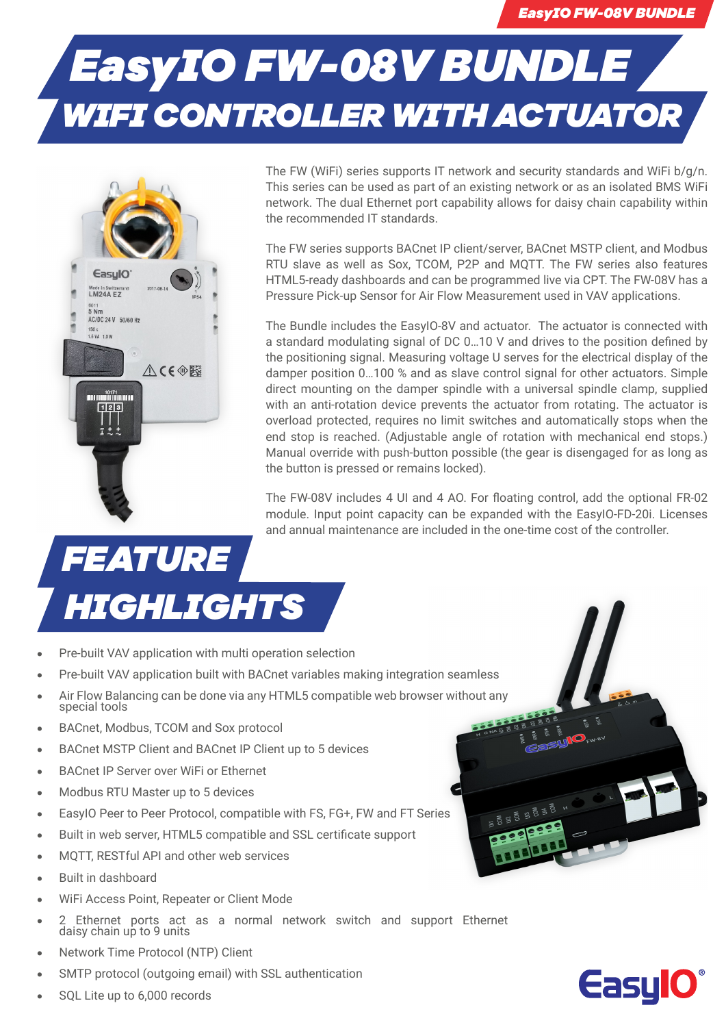## *EasyIO FW-08V BUNDLE WIFI CONTROLLER WITH ACTUATOR*



The FW (WiFi) series supports IT network and security standards and WiFi b/g/n. This series can be used as part of an existing network or as an isolated BMS WiFi network. The dual Ethernet port capability allows for daisy chain capability within the recommended IT standards.

The FW series supports BACnet IP client/server, BACnet MSTP client, and Modbus RTU slave as well as Sox, TCOM, P2P and MQTT. The FW series also features HTML5-ready dashboards and can be programmed live via CPT. The FW-08V has a Pressure Pick-up Sensor for Air Flow Measurement used in VAV applications.

The Bundle includes the EasyIO-8V and actuator. The actuator is connected with a standard modulating signal of DC 0…10 V and drives to the position defined by the positioning signal. Measuring voltage U serves for the electrical display of the damper position 0…100 % and as slave control signal for other actuators. Simple direct mounting on the damper spindle with a universal spindle clamp, supplied with an anti-rotation device prevents the actuator from rotating. The actuator is overload protected, requires no limit switches and automatically stops when the end stop is reached. (Adjustable angle of rotation with mechanical end stops.) Manual override with push-button possible (the gear is disengaged for as long as the button is pressed or remains locked).

The FW-08V includes 4 UI and 4 AO. For floating control, add the optional FR-02 module. Input point capacity can be expanded with the EasyIO-FD-20i. Licenses and annual maintenance are included in the one-time cost of the controller.

## *FEATURE HIGHLIGHTS*

- **•** Pre-built VAV application with multi operation selection
- **•** Pre-built VAV application built with BACnet variables making integration seamless
- **•** Air Flow Balancing can be done via any HTML5 compatible web browser without any special tools
- **•** BACnet, Modbus, TCOM and Sox protocol
- **•** BACnet MSTP Client and BACnet IP Client up to 5 devices
- **•** BACnet IP Server over WiFi or Ethernet
- **•** Modbus RTU Master up to 5 devices
- **•** EasyIO Peer to Peer Protocol, compatible with FS, FG+, FW and FT Series
- **•** Built in web server, HTML5 compatible and SSL certificate support
- **•** MQTT, RESTful API and other web services
- **•** Built in dashboard
- **•** WiFi Access Point, Repeater or Client Mode
- **•** 2 Ethernet ports act as a normal network switch and support Ethernet daisy chain up to 9 units
- **•** Network Time Protocol (NTP) Client
- **•** SMTP protocol (outgoing email) with SSL authentication
- **•** SQL Lite up to 6,000 records